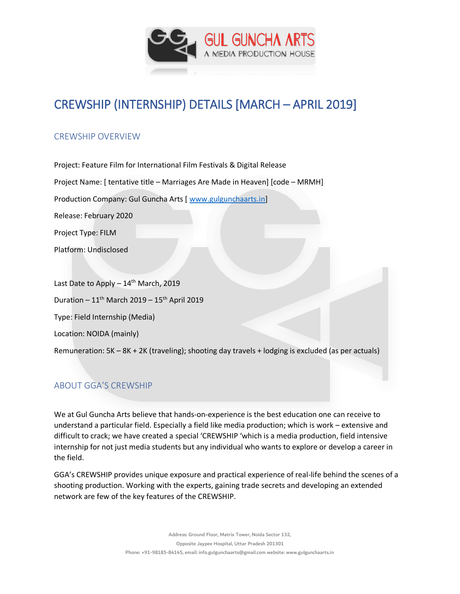

# CREWSHIP (INTERNSHIP) DETAILS [MARCH – APRIL 2019]

## CREWSHIP OVERVIEW

Project: Feature Film for International Film Festivals & Digital Release Project Name: [ tentative title – Marriages Are Made in Heaven] [code – MRMH] Production Company: Gul Guncha Arts [ [www.gulgunchaarts.in\]](http://www.gulgunchaarts.in/) Release: February 2020 Project Type: FILM Platform: Undisclosed

Last Date to Apply  $-14^{th}$  March, 2019 Duration –  $11^{th}$  March 2019 –  $15^{th}$  April 2019 Type: Field Internship (Media) Location: NOIDA (mainly) Remuneration: 5K – 8K + 2K (traveling); shooting day travels + lodging is excluded (as per actuals)

# ABOUT GGA'S CREWSHIP

We at Gul Guncha Arts believe that hands-on-experience is the best education one can receive to understand a particular field. Especially a field like media production; which is work – extensive and difficult to crack; we have created a special 'CREWSHIP 'which is a media production, field intensive internship for not just media students but any individual who wants to explore or develop a career in the field.

GGA's CREWSHIP provides unique exposure and practical experience of real-life behind the scenes of a shooting production. Working with the experts, gaining trade secrets and developing an extended network are few of the key features of the CREWSHIP.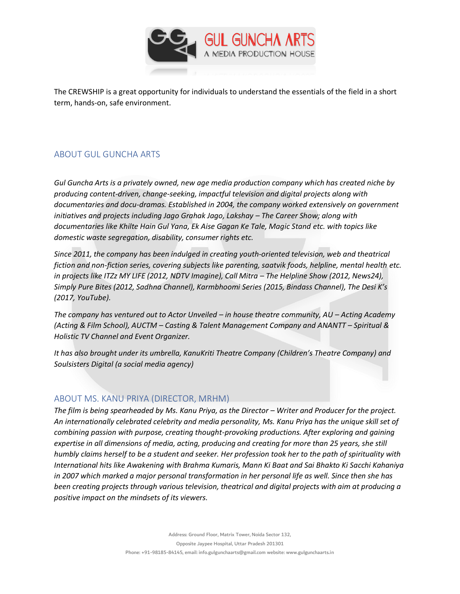

The CREWSHIP is a great opportunity for individuals to understand the essentials of the field in a short term, hands-on, safe environment.

## ABOUT GUL GUNCHA ARTS

*Gul Guncha Arts is a privately owned, new age media production company which has created niche by producing content-driven, change-seeking, impactful television and digital projects along with documentaries and docu-dramas. Established in 2004, the company worked extensively on government initiatives and projects including Jago Grahak Jago, Lakshay – The Career Show; along with documentaries like Khilte Hain Gul Yana, Ek Aise Gagan Ke Tale, Magic Stand etc. with topics like domestic waste segregation, disability, consumer rights etc.* 

*Since 2011, the company has been indulged in creating youth-oriented television, web and theatrical fiction and non-fiction series, covering subjects like parenting, saatvik foods, helpline, mental health etc. in projects like ITZz MY LIFE (2012, NDTV Imagine), Call Mitra – The Helpline Show (2012, News24), Simply Pure Bites (2012, Sadhna Channel), Karmbhoomi Series (2015, Bindass Channel), The Desi K's (2017, YouTube).*

*The company has ventured out to Actor Unveiled – in house theatre community, AU – Acting Academy (Acting & Film School), AUCTM – Casting & Talent Management Company and ANANTT – Spiritual & Holistic TV Channel and Event Organizer.*

*It has also brought under its umbrella, KanuKriti Theatre Company (Children's Theatre Company) and Soulsisters Digital (a social media agency)*

### ABOUT MS. KANU PRIYA (DIRECTOR, MRHM)

*The film is being spearheaded by Ms. Kanu Priya, as the Director – Writer and Producer for the project. An internationally celebrated celebrity and media personality, Ms. Kanu Priya has the unique skill set of combining passion with purpose, creating thought-provoking productions. After exploring and gaining expertise in all dimensions of media, acting, producing and creating for more than 25 years, she still humbly claims herself to be a student and seeker. Her profession took her to the path of spirituality with International hits like Awakening with Brahma Kumaris, Mann Ki Baat and Sai Bhakto Ki Sacchi Kahaniya in 2007 which marked a major personal transformation in her personal life as well. Since then she has been creating projects through various television, theatrical and digital projects with aim at producing a positive impact on the mindsets of its viewers.*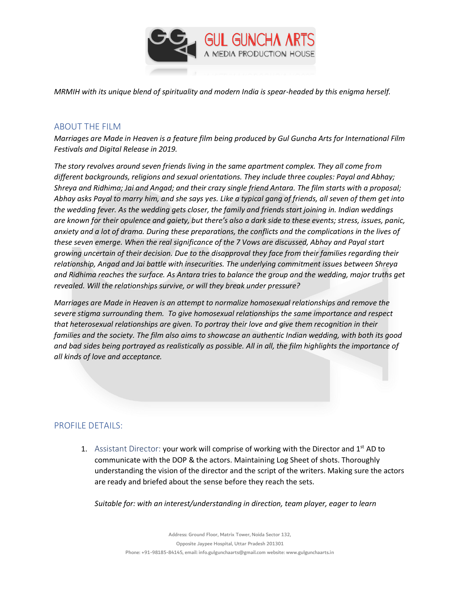

*MRMIH with its unique blend of spirituality and modern India is spear-headed by this enigma herself.*

#### ABOUT THE FILM

*Marriages are Made in Heaven is a feature film being produced by Gul Guncha Arts for International Film Festivals and Digital Release in 2019.*

*The story revolves around seven friends living in the same apartment complex. They all come from different backgrounds, religions and sexual orientations. They include three couples: Payal and Abhay; Shreya and Ridhima; Jai and Angad; and their crazy single friend Antara. The film starts with a proposal; Abhay asks Payal to marry him, and she says yes. Like a typical gang of friends, all seven of them get into the wedding fever. As the wedding gets closer, the family and friends start joining in. Indian weddings are known for their opulence and gaiety, but there's also a dark side to these events; stress, issues, panic, anxiety and a lot of drama. During these preparations, the conflicts and the complications in the lives of these seven emerge. When the real significance of the 7 Vows are discussed, Abhay and Payal start growing uncertain of their decision. Due to the disapproval they face from their families regarding their relationship, Angad and Jai battle with insecurities. The underlying commitment issues between Shreya and Ridhima reaches the surface. As Antara tries to balance the group and the wedding, major truths get revealed. Will the relationships survive, or will they break under pressure?*

*Marriages are Made in Heaven is an attempt to normalize homosexual relationships and remove the severe stigma surrounding them. To give homosexual relationships the same importance and respect that heterosexual relationships are given. To portray their love and give them recognition in their families and the society. The film also aims to showcase an authentic Indian wedding, with both its good and bad sides being portrayed as realistically as possible. All in all, the film highlights the importance of all kinds of love and acceptance.*

### PROFILE DETAILS:

1. Assistant Director: your work will comprise of working with the Director and  $1^{st}$  AD to communicate with the DOP & the actors. Maintaining Log Sheet of shots. Thoroughly understanding the vision of the director and the script of the writers. Making sure the actors are ready and briefed about the sense before they reach the sets.

*Suitable for: with an interest/understanding in direction, team player, eager to learn*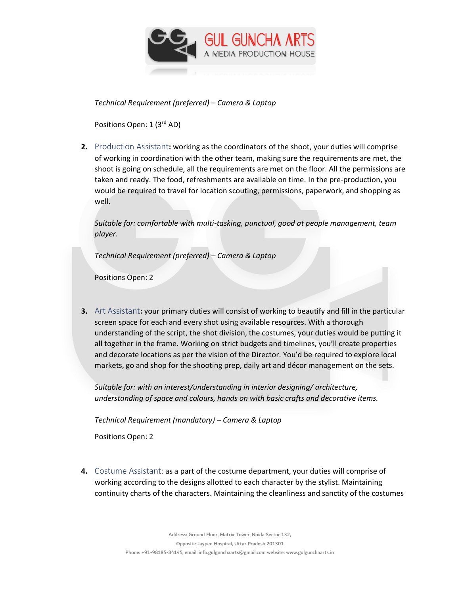

*Technical Requirement (preferred) – Camera & Laptop* 

Positions Open: 1 (3<sup>rd</sup> AD)

**2.** Production Assistant**:** working as the coordinators of the shoot, your duties will comprise of working in coordination with the other team, making sure the requirements are met, the shoot is going on schedule, all the requirements are met on the floor. All the permissions are taken and ready. The food, refreshments are available on time. In the pre-production, you would be required to travel for location scouting, permissions, paperwork, and shopping as well.

*Suitable for: comfortable with multi-tasking, punctual, good at people management, team player.*

*Technical Requirement (preferred) – Camera & Laptop* 

Positions Open: 2

**3.** Art Assistant**:** your primary duties will consist of working to beautify and fill in the particular screen space for each and every shot using available resources. With a thorough understanding of the script, the shot division, the costumes, your duties would be putting it all together in the frame. Working on strict budgets and timelines, you'll create properties and decorate locations as per the vision of the Director. You'd be required to explore local markets, go and shop for the shooting prep, daily art and décor management on the sets.

*Suitable for: with an interest/understanding in interior designing/ architecture, understanding of space and colours, hands on with basic crafts and decorative items.* 

*Technical Requirement (mandatory) – Camera & Laptop* 

Positions Open: 2

**4.** Costume Assistant: as a part of the costume department, your duties will comprise of working according to the designs allotted to each character by the stylist. Maintaining continuity charts of the characters. Maintaining the cleanliness and sanctity of the costumes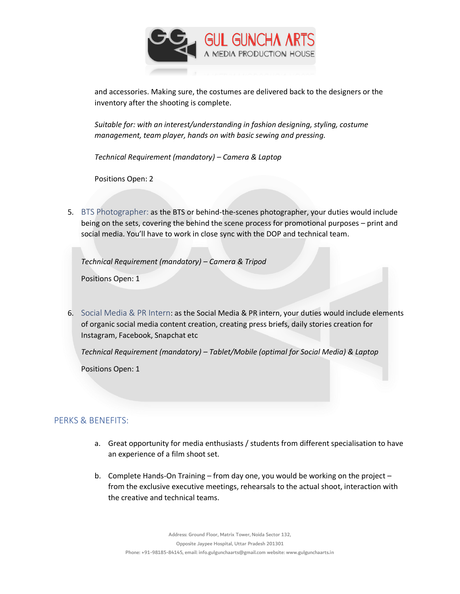

and accessories. Making sure, the costumes are delivered back to the designers or the inventory after the shooting is complete.

*Suitable for: with an interest/understanding in fashion designing, styling, costume management, team player, hands on with basic sewing and pressing.* 

*Technical Requirement (mandatory) – Camera & Laptop* 

Positions Open: 2

5. BTS Photographer: as the BTS or behind-the-scenes photographer, your duties would include being on the sets, covering the behind the scene process for promotional purposes – print and social media. You'll have to work in close sync with the DOP and technical team.

*Technical Requirement (mandatory) – Camera & Tripod* 

Positions Open: 1

6. Social Media & PR Intern: as the Social Media & PR intern, your duties would include elements of organic social media content creation, creating press briefs, daily stories creation for Instagram, Facebook, Snapchat etc

*Technical Requirement (mandatory) – Tablet/Mobile (optimal for Social Media) & Laptop* 

Positions Open: 1

#### PERKS & BENEFITS:

- a. Great opportunity for media enthusiasts / students from different specialisation to have an experience of a film shoot set.
- b. Complete Hands-On Training from day one, you would be working on the project from the exclusive executive meetings, rehearsals to the actual shoot, interaction with the creative and technical teams.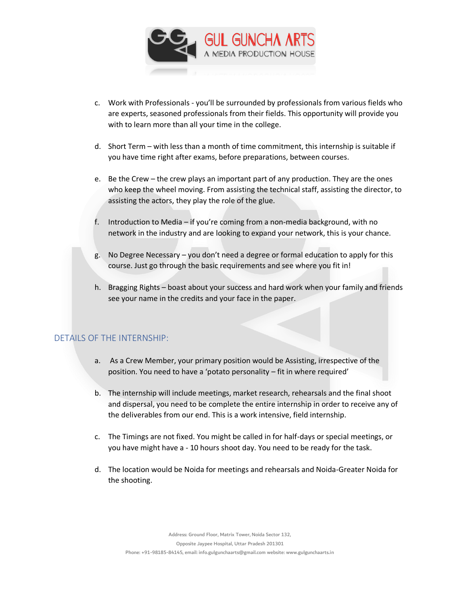

- c. Work with Professionals you'll be surrounded by professionals from various fields who are experts, seasoned professionals from their fields. This opportunity will provide you with to learn more than all your time in the college.
- d. Short Term with less than a month of time commitment, this internship is suitable if you have time right after exams, before preparations, between courses.
- e. Be the Crew the crew plays an important part of any production. They are the ones who keep the wheel moving. From assisting the technical staff, assisting the director, to assisting the actors, they play the role of the glue.
- f. Introduction to Media if you're coming from a non-media background, with no network in the industry and are looking to expand your network, this is your chance.
- g. No Degree Necessary you don't need a degree or formal education to apply for this course. Just go through the basic requirements and see where you fit in!
- h. Bragging Rights boast about your success and hard work when your family and friends see your name in the credits and your face in the paper.

### DETAILS OF THE INTERNSHIP:

- a. As a Crew Member, your primary position would be Assisting, irrespective of the position. You need to have a 'potato personality – fit in where required'
- b. The internship will include meetings, market research, rehearsals and the final shoot and dispersal, you need to be complete the entire internship in order to receive any of the deliverables from our end. This is a work intensive, field internship.
- c. The Timings are not fixed. You might be called in for half-days or special meetings, or you have might have a - 10 hours shoot day. You need to be ready for the task.
- d. The location would be Noida for meetings and rehearsals and Noida-Greater Noida for the shooting.